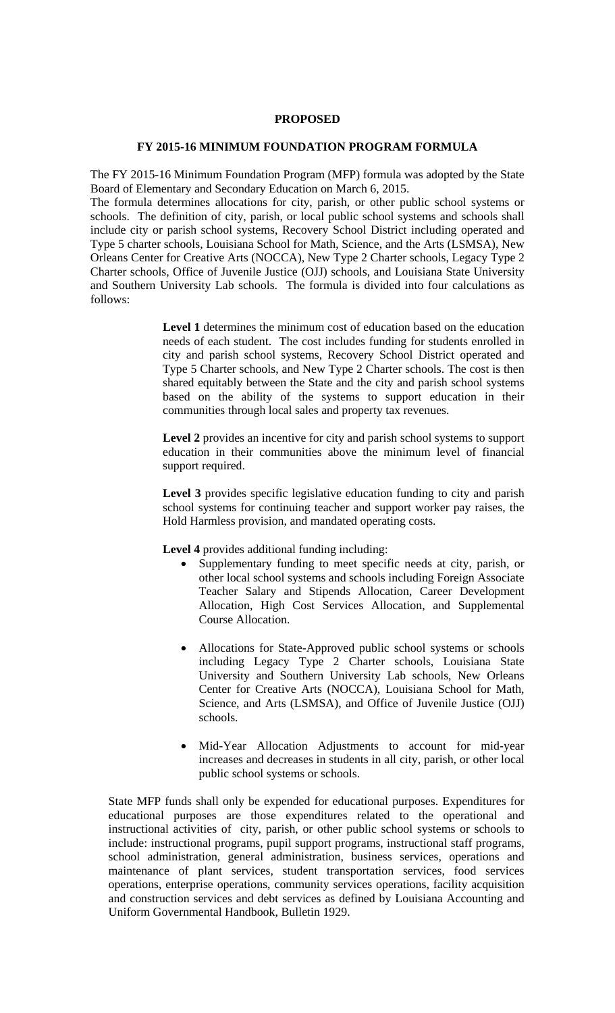## **PROPOSED**

#### **FY 2015-16 MINIMUM FOUNDATION PROGRAM FORMULA**

The FY 2015-16 Minimum Foundation Program (MFP) formula was adopted by the State Board of Elementary and Secondary Education on March 6, 2015.

The formula determines allocations for city, parish, or other public school systems or schools. The definition of city, parish, or local public school systems and schools shall include city or parish school systems, Recovery School District including operated and Type 5 charter schools, Louisiana School for Math, Science, and the Arts (LSMSA), New Orleans Center for Creative Arts (NOCCA), New Type 2 Charter schools, Legacy Type 2 Charter schools, Office of Juvenile Justice (OJJ) schools, and Louisiana State University and Southern University Lab schools. The formula is divided into four calculations as follows:

> **Level 1** determines the minimum cost of education based on the education needs of each student. The cost includes funding for students enrolled in city and parish school systems, Recovery School District operated and Type 5 Charter schools, and New Type 2 Charter schools. The cost is then shared equitably between the State and the city and parish school systems based on the ability of the systems to support education in their communities through local sales and property tax revenues.

> **Level 2** provides an incentive for city and parish school systems to support education in their communities above the minimum level of financial support required.

> **Level 3** provides specific legislative education funding to city and parish school systems for continuing teacher and support worker pay raises, the Hold Harmless provision, and mandated operating costs.

Level 4 provides additional funding including:

- Supplementary funding to meet specific needs at city, parish, or other local school systems and schools including Foreign Associate Teacher Salary and Stipends Allocation, Career Development Allocation, High Cost Services Allocation, and Supplemental Course Allocation.
- Allocations for State-Approved public school systems or schools including Legacy Type 2 Charter schools, Louisiana State University and Southern University Lab schools, New Orleans Center for Creative Arts (NOCCA), Louisiana School for Math, Science, and Arts (LSMSA), and Office of Juvenile Justice (OJJ) schools.
- Mid-Year Allocation Adjustments to account for mid-year increases and decreases in students in all city, parish, or other local public school systems or schools.

State MFP funds shall only be expended for educational purposes. Expenditures for educational purposes are those expenditures related to the operational and instructional activities of city, parish, or other public school systems or schools to include: instructional programs, pupil support programs, instructional staff programs, school administration, general administration, business services, operations and maintenance of plant services, student transportation services, food services operations, enterprise operations, community services operations, facility acquisition and construction services and debt services as defined by Louisiana Accounting and Uniform Governmental Handbook, Bulletin 1929.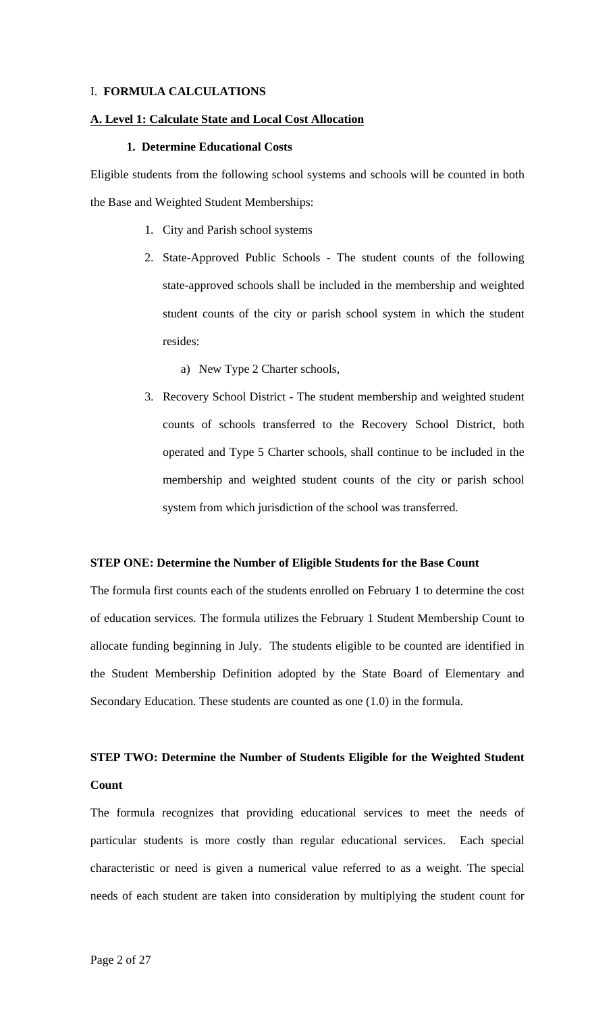### I. **FORMULA CALCULATIONS**

#### **A. Level 1: Calculate State and Local Cost Allocation**

#### **1. Determine Educational Costs**

Eligible students from the following school systems and schools will be counted in both the Base and Weighted Student Memberships:

- 1. City and Parish school systems
- 2. State-Approved Public Schools The student counts of the following state-approved schools shall be included in the membership and weighted student counts of the city or parish school system in which the student resides:
	- a) New Type 2 Charter schools,
- 3. Recovery School District The student membership and weighted student counts of schools transferred to the Recovery School District, both operated and Type 5 Charter schools, shall continue to be included in the membership and weighted student counts of the city or parish school system from which jurisdiction of the school was transferred.

#### **STEP ONE: Determine the Number of Eligible Students for the Base Count**

The formula first counts each of the students enrolled on February 1 to determine the cost of education services. The formula utilizes the February 1 Student Membership Count to allocate funding beginning in July. The students eligible to be counted are identified in the Student Membership Definition adopted by the State Board of Elementary and Secondary Education. These students are counted as one (1.0) in the formula.

## **STEP TWO: Determine the Number of Students Eligible for the Weighted Student Count**

The formula recognizes that providing educational services to meet the needs of particular students is more costly than regular educational services. Each special characteristic or need is given a numerical value referred to as a weight. The special needs of each student are taken into consideration by multiplying the student count for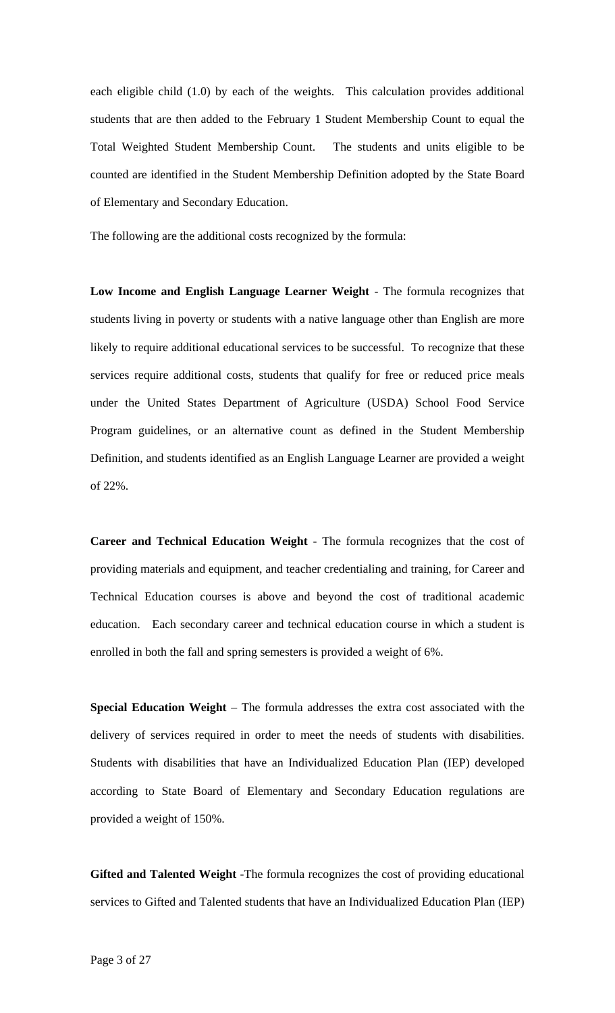each eligible child (1.0) by each of the weights. This calculation provides additional students that are then added to the February 1 Student Membership Count to equal the Total Weighted Student Membership Count. The students and units eligible to be counted are identified in the Student Membership Definition adopted by the State Board of Elementary and Secondary Education.

The following are the additional costs recognized by the formula:

**Low Income and English Language Learner Weight** - The formula recognizes that students living in poverty or students with a native language other than English are more likely to require additional educational services to be successful. To recognize that these services require additional costs, students that qualify for free or reduced price meals under the United States Department of Agriculture (USDA) School Food Service Program guidelines, or an alternative count as defined in the Student Membership Definition, and students identified as an English Language Learner are provided a weight of 22%.

**Career and Technical Education Weight** - The formula recognizes that the cost of providing materials and equipment, and teacher credentialing and training, for Career and Technical Education courses is above and beyond the cost of traditional academic education. Each secondary career and technical education course in which a student is enrolled in both the fall and spring semesters is provided a weight of 6%.

**Special Education Weight** – The formula addresses the extra cost associated with the delivery of services required in order to meet the needs of students with disabilities. Students with disabilities that have an Individualized Education Plan (IEP) developed according to State Board of Elementary and Secondary Education regulations are provided a weight of 150%.

**Gifted and Talented Weight** -The formula recognizes the cost of providing educational services to Gifted and Talented students that have an Individualized Education Plan (IEP)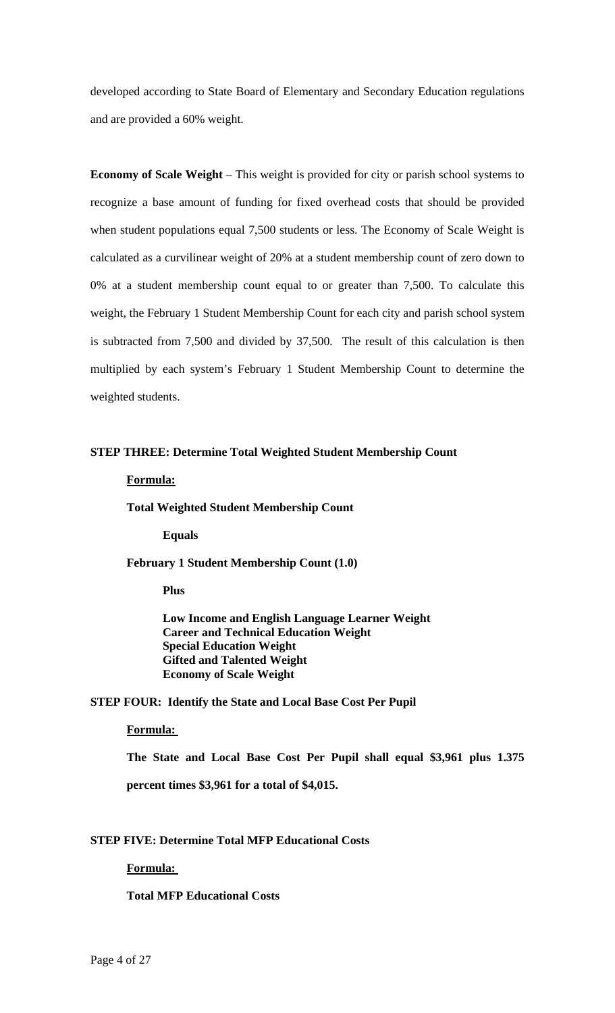developed according to State Board of Elementary and Secondary Education regulations and are provided a 60% weight.

**Economy of Scale Weight** – This weight is provided for city or parish school systems to recognize a base amount of funding for fixed overhead costs that should be provided when student populations equal 7,500 students or less. The Economy of Scale Weight is calculated as a curvilinear weight of 20% at a student membership count of zero down to 0% at a student membership count equal to or greater than 7,500. To calculate this weight, the February 1 Student Membership Count for each city and parish school system is subtracted from 7,500 and divided by 37,500. The result of this calculation is then multiplied by each system's February 1 Student Membership Count to determine the weighted students.

## **STEP THREE: Determine Total Weighted Student Membership Count**

#### **Formula:**

**Total Weighted Student Membership Count** 

**Equals** 

**February 1 Student Membership Count (1.0)** 

 **Plus** 

 **Low Income and English Language Learner Weight Career and Technical Education Weight Special Education Weight Gifted and Talented Weight Economy of Scale Weight** 

#### **STEP FOUR: Identify the State and Local Base Cost Per Pupil**

### **Formula:**

**The State and Local Base Cost Per Pupil shall equal \$3,961 plus 1.375** 

**percent times \$3,961 for a total of \$4,015.** 

## **STEP FIVE: Determine Total MFP Educational Costs**

## **Formula:**

## **Total MFP Educational Costs**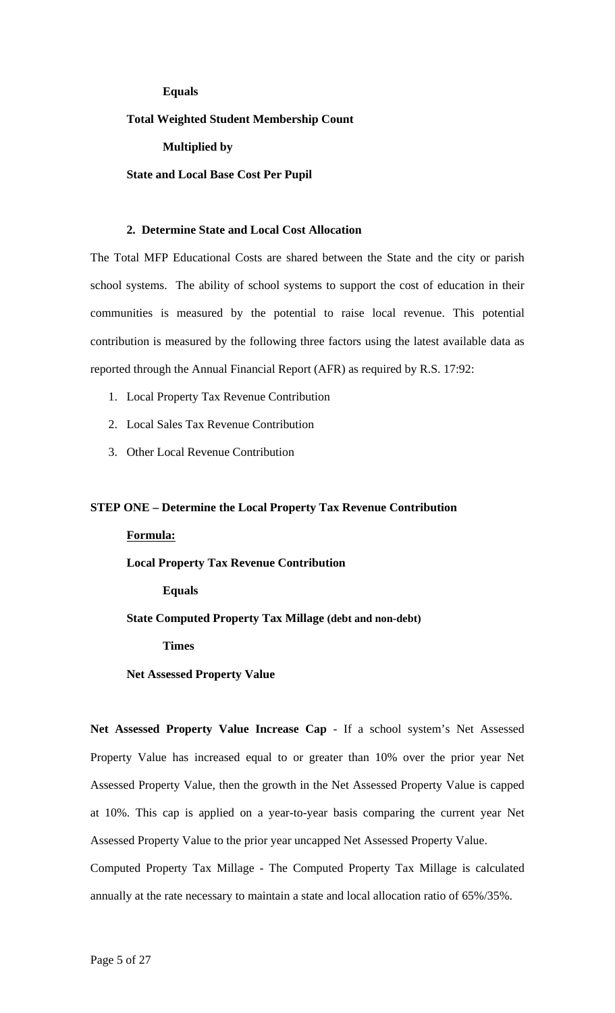## **Equals**

## **Total Weighted Student Membership Count**

**Multiplied by** 

#### **State and Local Base Cost Per Pupil**

## **2. Determine State and Local Cost Allocation**

The Total MFP Educational Costs are shared between the State and the city or parish school systems. The ability of school systems to support the cost of education in their communities is measured by the potential to raise local revenue. This potential contribution is measured by the following three factors using the latest available data as reported through the Annual Financial Report (AFR) as required by R.S. 17:92:

- 1. Local Property Tax Revenue Contribution
- 2. Local Sales Tax Revenue Contribution
- 3. Other Local Revenue Contribution

#### **STEP ONE – Determine the Local Property Tax Revenue Contribution**

#### **Formula:**

**Local Property Tax Revenue Contribution** 

**Equals** 

**State Computed Property Tax Millage (debt and non-debt)** 

**Times** 

**Net Assessed Property Value** 

**Net Assessed Property Value Increase Cap** - If a school system's Net Assessed Property Value has increased equal to or greater than 10% over the prior year Net Assessed Property Value, then the growth in the Net Assessed Property Value is capped at 10%. This cap is applied on a year-to-year basis comparing the current year Net Assessed Property Value to the prior year uncapped Net Assessed Property Value. Computed Property Tax Millage - The Computed Property Tax Millage is calculated annually at the rate necessary to maintain a state and local allocation ratio of 65%/35%.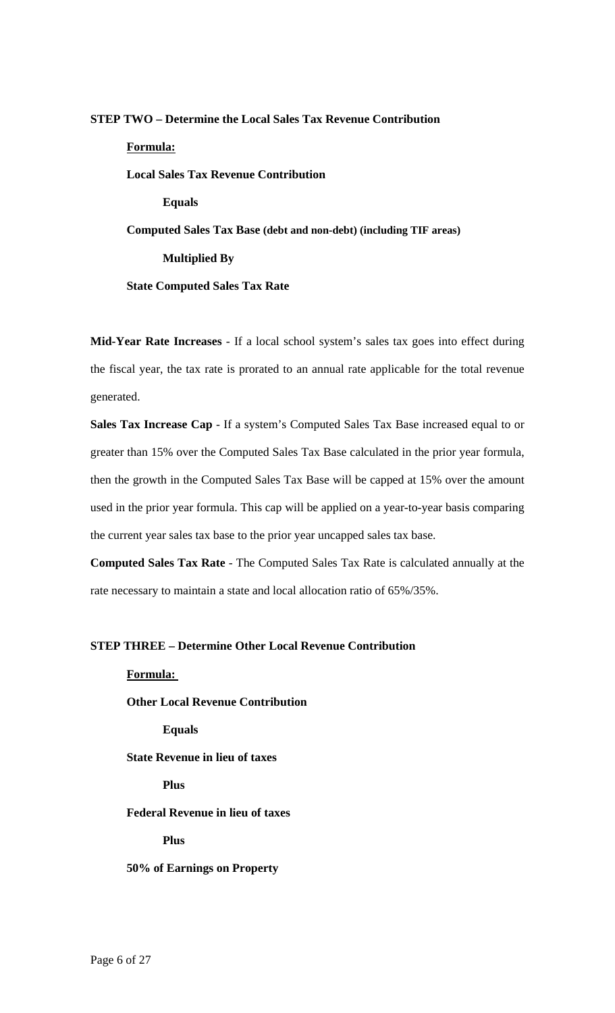# **STEP TWO – Determine the Local Sales Tax Revenue Contribution Formula: Local Sales Tax Revenue Contribution Equals Computed Sales Tax Base (debt and non-debt) (including TIF areas) Multiplied By State Computed Sales Tax Rate**

**Mid-Year Rate Increases** - If a local school system's sales tax goes into effect during the fiscal year, the tax rate is prorated to an annual rate applicable for the total revenue generated.

**Sales Tax Increase Cap** - If a system's Computed Sales Tax Base increased equal to or greater than 15% over the Computed Sales Tax Base calculated in the prior year formula, then the growth in the Computed Sales Tax Base will be capped at 15% over the amount used in the prior year formula. This cap will be applied on a year-to-year basis comparing the current year sales tax base to the prior year uncapped sales tax base.

**Computed Sales Tax Rate** - The Computed Sales Tax Rate is calculated annually at the rate necessary to maintain a state and local allocation ratio of 65%/35%.

#### **STEP THREE – Determine Other Local Revenue Contribution**

**Formula:** 

**Other Local Revenue Contribution** 

**Equals** 

**State Revenue in lieu of taxes** 

**Plus** 

**Federal Revenue in lieu of taxes** 

**Plus** 

**50% of Earnings on Property**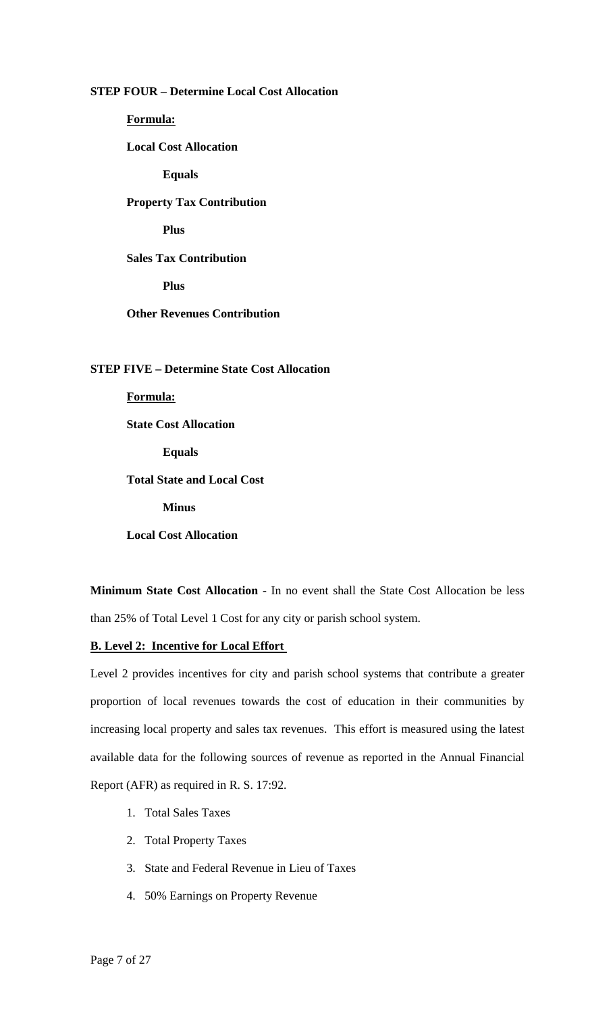## **STEP FOUR – Determine Local Cost Allocation**

**Formula:** 

**Local Cost Allocation** 

**Equals** 

## **Property Tax Contribution**

**Plus** 

**Sales Tax Contribution** 

**Plus** 

## **Other Revenues Contribution**

### **STEP FIVE – Determine State Cost Allocation**

**Formula:** 

**State Cost Allocation** 

**Equals** 

**Total State and Local Cost** 

**Minus** 

**Local Cost Allocation** 

**Minimum State Cost Allocation** - In no event shall the State Cost Allocation be less than 25% of Total Level 1 Cost for any city or parish school system.

#### **B. Level 2: Incentive for Local Effort**

Level 2 provides incentives for city and parish school systems that contribute a greater proportion of local revenues towards the cost of education in their communities by increasing local property and sales tax revenues. This effort is measured using the latest available data for the following sources of revenue as reported in the Annual Financial Report (AFR) as required in R. S. 17:92.

- 1. Total Sales Taxes
- 2. Total Property Taxes
- 3. State and Federal Revenue in Lieu of Taxes
- 4. 50% Earnings on Property Revenue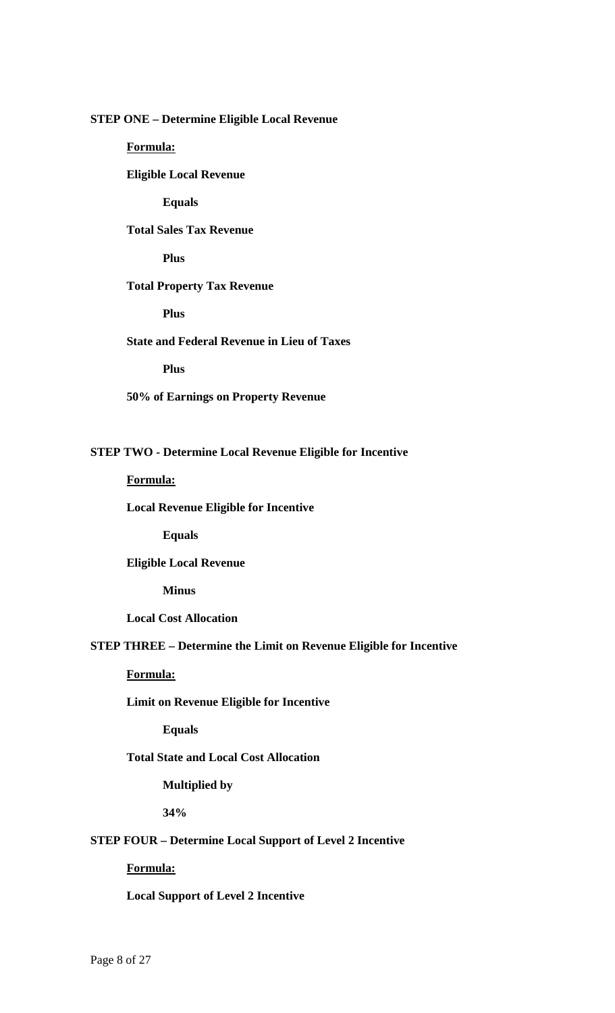## **STEP ONE – Determine Eligible Local Revenue**

## **Formula:**

 **Eligible Local Revenue** 

 **Equals** 

**Total Sales Tax Revenue** 

**Plus** 

#### **Total Property Tax Revenue**

**Plus** 

## **State and Federal Revenue in Lieu of Taxes**

**Plus** 

**50% of Earnings on Property Revenue** 

## **STEP TWO - Determine Local Revenue Eligible for Incentive**

**Formula:** 

**Local Revenue Eligible for Incentive** 

**Equals** 

 **Eligible Local Revenue** 

 **Minus** 

**Local Cost Allocation** 

## **STEP THREE – Determine the Limit on Revenue Eligible for Incentive**

**Formula:** 

## **Limit on Revenue Eligible for Incentive**

**Equals** 

## **Total State and Local Cost Allocation**

**Multiplied by** 

**34%** 

## **STEP FOUR – Determine Local Support of Level 2 Incentive**

#### **Formula:**

**Local Support of Level 2 Incentive**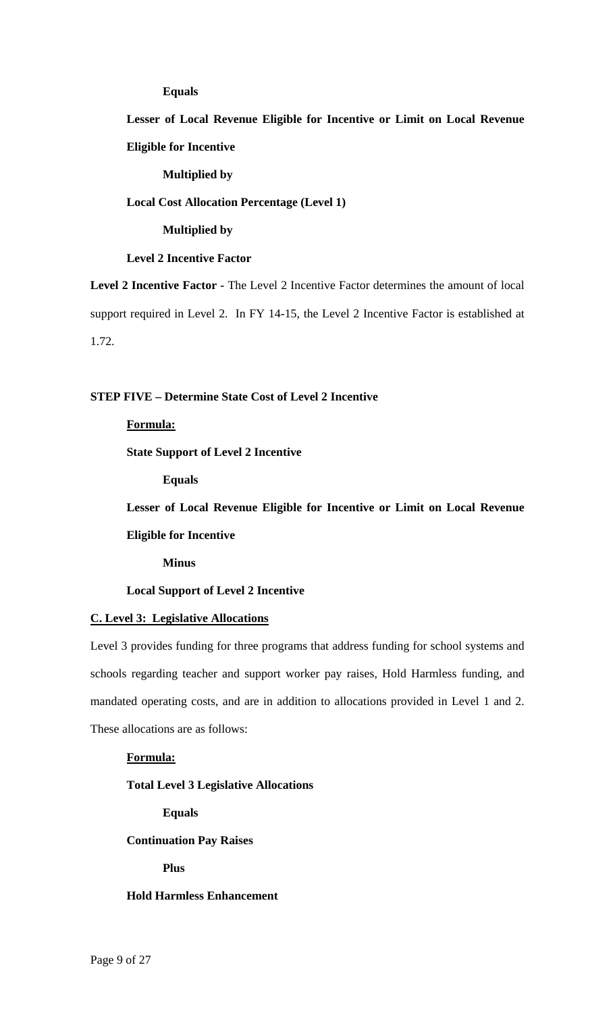#### **Equals**

**Lesser of Local Revenue Eligible for Incentive or Limit on Local Revenue Eligible for Incentive**

#### **Multiplied by**

## **Local Cost Allocation Percentage (Level 1)**

#### **Multiplied by**

### **Level 2 Incentive Factor**

**Level 2 Incentive Factor -** The Level 2 Incentive Factor determines the amount of local support required in Level 2. In FY 14-15, the Level 2 Incentive Factor is established at 1.72.

## **STEP FIVE – Determine State Cost of Level 2 Incentive**

#### **Formula:**

## **State Support of Level 2 Incentive**

 **Equals** 

**Lesser of Local Revenue Eligible for Incentive or Limit on Local Revenue** 

**Eligible for Incentive** 

**Minus** 

#### **Local Support of Level 2 Incentive**

#### **C. Level 3: Legislative Allocations**

Level 3 provides funding for three programs that address funding for school systems and schools regarding teacher and support worker pay raises, Hold Harmless funding, and mandated operating costs, and are in addition to allocations provided in Level 1 and 2. These allocations are as follows:

## **Formula:**

#### **Total Level 3 Legislative Allocations**

**Equals** 

**Continuation Pay Raises** 

**Plus** 

#### **Hold Harmless Enhancement**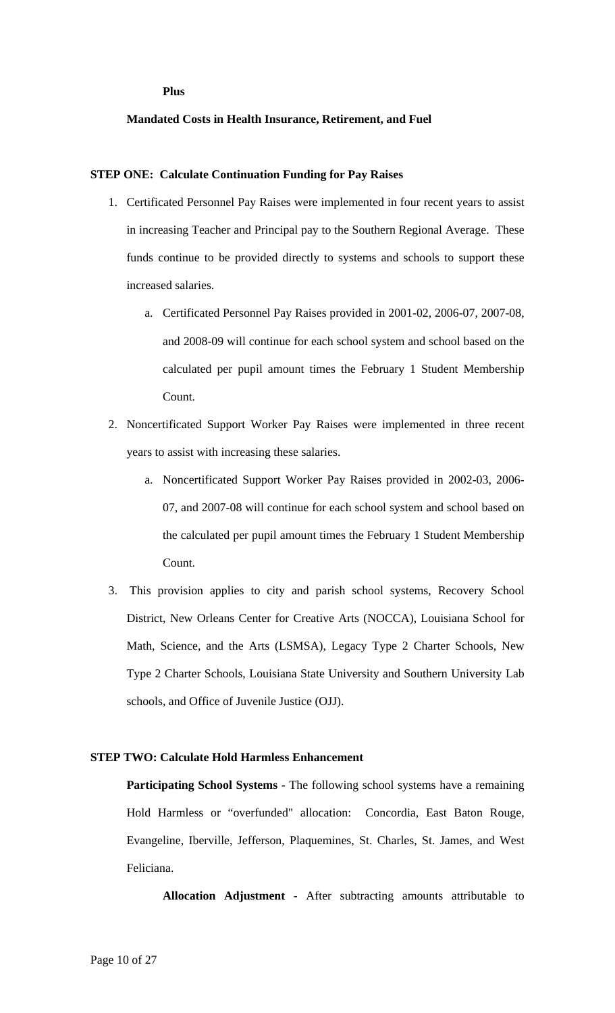#### **Plus**

## **Mandated Costs in Health Insurance, Retirement, and Fuel**

#### **STEP ONE: Calculate Continuation Funding for Pay Raises**

- 1. Certificated Personnel Pay Raises were implemented in four recent years to assist in increasing Teacher and Principal pay to the Southern Regional Average. These funds continue to be provided directly to systems and schools to support these increased salaries.
	- a. Certificated Personnel Pay Raises provided in 2001-02, 2006-07, 2007-08, and 2008-09 will continue for each school system and school based on the calculated per pupil amount times the February 1 Student Membership Count.
- 2. Noncertificated Support Worker Pay Raises were implemented in three recent years to assist with increasing these salaries.
	- a. Noncertificated Support Worker Pay Raises provided in 2002-03, 2006- 07, and 2007-08 will continue for each school system and school based on the calculated per pupil amount times the February 1 Student Membership Count.
- 3. This provision applies to city and parish school systems, Recovery School District, New Orleans Center for Creative Arts (NOCCA), Louisiana School for Math, Science, and the Arts (LSMSA), Legacy Type 2 Charter Schools, New Type 2 Charter Schools, Louisiana State University and Southern University Lab schools, and Office of Juvenile Justice (OJJ).

### **STEP TWO: Calculate Hold Harmless Enhancement**

**Participating School Systems** - The following school systems have a remaining Hold Harmless or "overfunded" allocation: Concordia, East Baton Rouge, Evangeline, Iberville, Jefferson, Plaquemines, St. Charles, St. James, and West Feliciana.

**Allocation Adjustment** - After subtracting amounts attributable to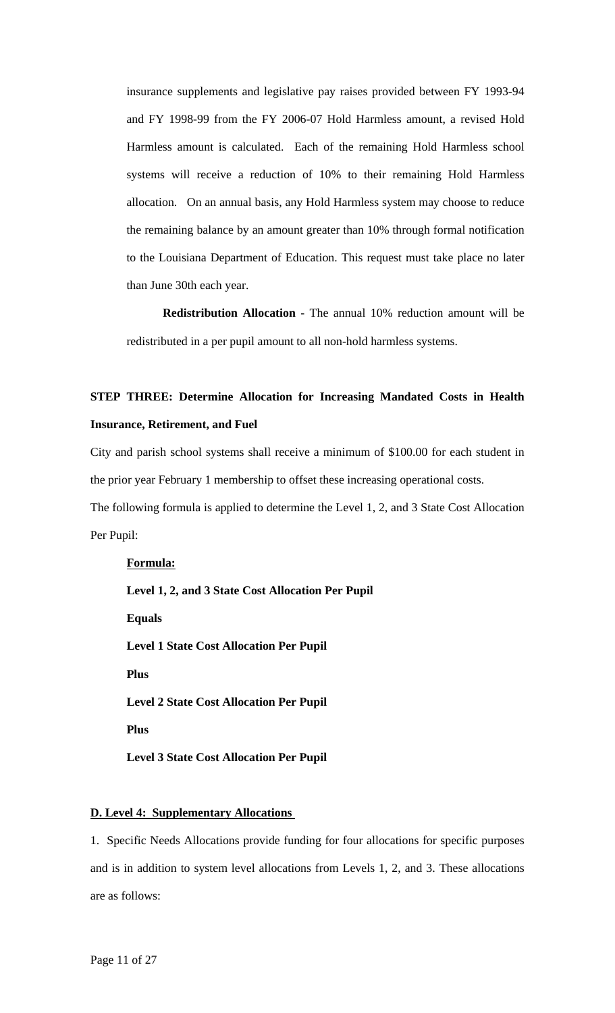insurance supplements and legislative pay raises provided between FY 1993-94 and FY 1998-99 from the FY 2006-07 Hold Harmless amount, a revised Hold Harmless amount is calculated. Each of the remaining Hold Harmless school systems will receive a reduction of 10% to their remaining Hold Harmless allocation. On an annual basis, any Hold Harmless system may choose to reduce the remaining balance by an amount greater than 10% through formal notification to the Louisiana Department of Education. This request must take place no later than June 30th each year.

**Redistribution Allocation** - The annual 10% reduction amount will be redistributed in a per pupil amount to all non-hold harmless systems.

## **STEP THREE: Determine Allocation for Increasing Mandated Costs in Health Insurance, Retirement, and Fuel**

City and parish school systems shall receive a minimum of \$100.00 for each student in the prior year February 1 membership to offset these increasing operational costs.

The following formula is applied to determine the Level 1, 2, and 3 State Cost Allocation Per Pupil:

**Formula: Level 1, 2, and 3 State Cost Allocation Per Pupil Equals Level 1 State Cost Allocation Per Pupil Plus Level 2 State Cost Allocation Per Pupil Plus Level 3 State Cost Allocation Per Pupil** 

#### **D. Level 4: Supplementary Allocations**

1. Specific Needs Allocations provide funding for four allocations for specific purposes and is in addition to system level allocations from Levels 1, 2, and 3. These allocations are as follows: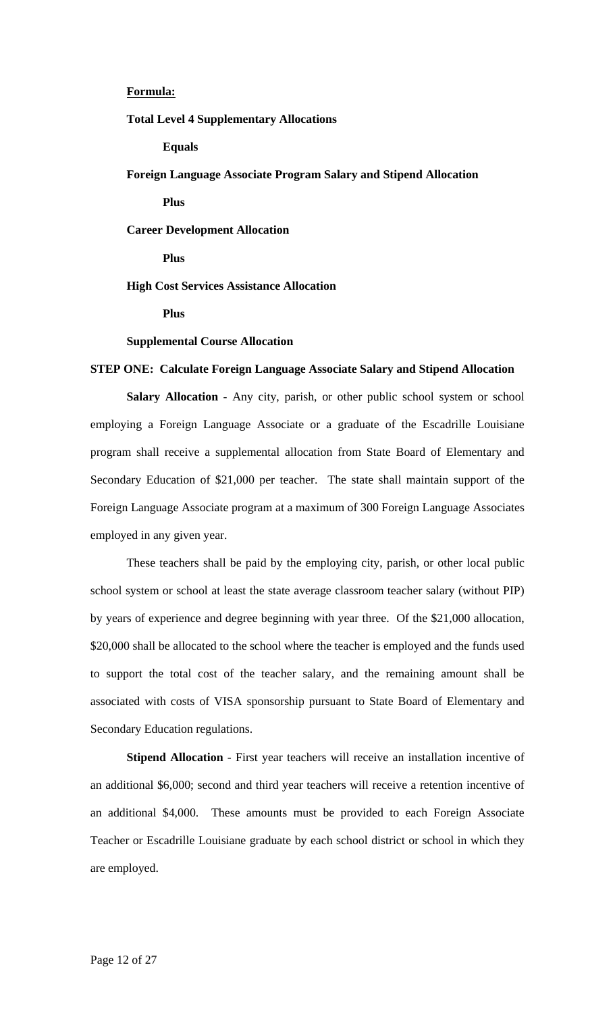## **Formula:**

**Total Level 4 Supplementary Allocations** 

**Equals** 

**Foreign Language Associate Program Salary and Stipend Allocation** 

**Plus** 

**Career Development Allocation** 

 **Plus** 

**High Cost Services Assistance Allocation** 

 **Plus** 

#### **Supplemental Course Allocation**

#### **STEP ONE: Calculate Foreign Language Associate Salary and Stipend Allocation**

**Salary Allocation** - Any city, parish, or other public school system or school employing a Foreign Language Associate or a graduate of the Escadrille Louisiane program shall receive a supplemental allocation from State Board of Elementary and Secondary Education of \$21,000 per teacher. The state shall maintain support of the Foreign Language Associate program at a maximum of 300 Foreign Language Associates employed in any given year.

These teachers shall be paid by the employing city, parish, or other local public school system or school at least the state average classroom teacher salary (without PIP) by years of experience and degree beginning with year three. Of the \$21,000 allocation, \$20,000 shall be allocated to the school where the teacher is employed and the funds used to support the total cost of the teacher salary, and the remaining amount shall be associated with costs of VISA sponsorship pursuant to State Board of Elementary and Secondary Education regulations.

**Stipend Allocation** - First year teachers will receive an installation incentive of an additional \$6,000; second and third year teachers will receive a retention incentive of an additional \$4,000. These amounts must be provided to each Foreign Associate Teacher or Escadrille Louisiane graduate by each school district or school in which they are employed.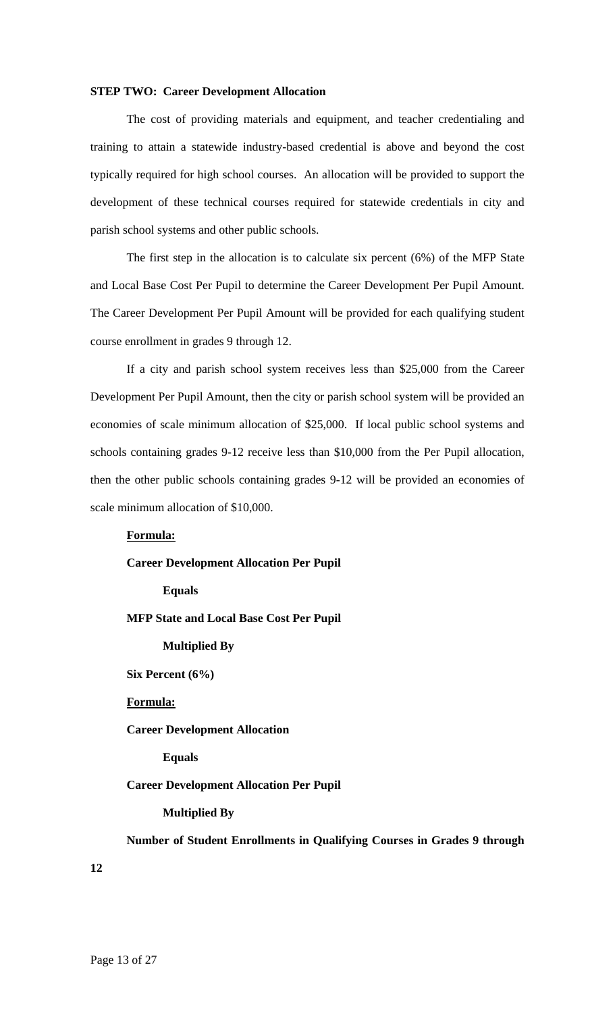#### **STEP TWO: Career Development Allocation**

The cost of providing materials and equipment, and teacher credentialing and training to attain a statewide industry-based credential is above and beyond the cost typically required for high school courses. An allocation will be provided to support the development of these technical courses required for statewide credentials in city and parish school systems and other public schools.

The first step in the allocation is to calculate six percent (6%) of the MFP State and Local Base Cost Per Pupil to determine the Career Development Per Pupil Amount. The Career Development Per Pupil Amount will be provided for each qualifying student course enrollment in grades 9 through 12.

If a city and parish school system receives less than \$25,000 from the Career Development Per Pupil Amount, then the city or parish school system will be provided an economies of scale minimum allocation of \$25,000. If local public school systems and schools containing grades 9-12 receive less than \$10,000 from the Per Pupil allocation, then the other public schools containing grades 9-12 will be provided an economies of scale minimum allocation of \$10,000.

## **Formula:**

#### **Career Development Allocation Per Pupil**

#### **Equals**

### **MFP State and Local Base Cost Per Pupil**

#### **Multiplied By**

 **Six Percent (6%)** 

#### **Formula:**

#### **Career Development Allocation**

## **Equals**

#### **Career Development Allocation Per Pupil**

#### **Multiplied By**

 **Number of Student Enrollments in Qualifying Courses in Grades 9 through** 

**12**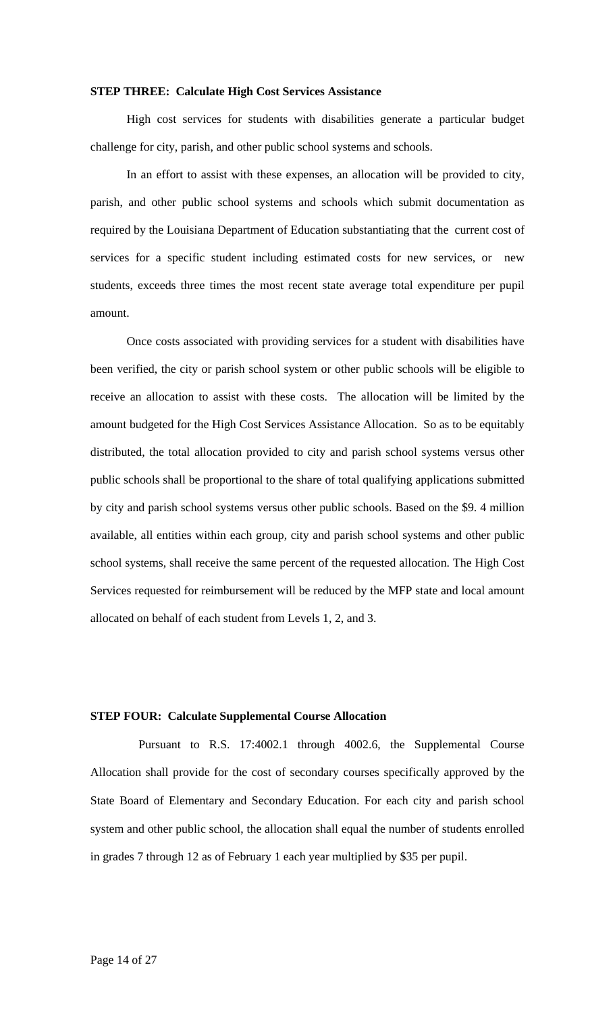#### **STEP THREE: Calculate High Cost Services Assistance**

High cost services for students with disabilities generate a particular budget challenge for city, parish, and other public school systems and schools.

In an effort to assist with these expenses, an allocation will be provided to city, parish, and other public school systems and schools which submit documentation as required by the Louisiana Department of Education substantiating that the current cost of services for a specific student including estimated costs for new services, or new students, exceeds three times the most recent state average total expenditure per pupil amount.

Once costs associated with providing services for a student with disabilities have been verified, the city or parish school system or other public schools will be eligible to receive an allocation to assist with these costs. The allocation will be limited by the amount budgeted for the High Cost Services Assistance Allocation. So as to be equitably distributed, the total allocation provided to city and parish school systems versus other public schools shall be proportional to the share of total qualifying applications submitted by city and parish school systems versus other public schools. Based on the \$9. 4 million available, all entities within each group, city and parish school systems and other public school systems, shall receive the same percent of the requested allocation. The High Cost Services requested for reimbursement will be reduced by the MFP state and local amount allocated on behalf of each student from Levels 1, 2, and 3.

## **STEP FOUR: Calculate Supplemental Course Allocation**

Pursuant to R.S. 17:4002.1 through 4002.6, the Supplemental Course Allocation shall provide for the cost of secondary courses specifically approved by the State Board of Elementary and Secondary Education. For each city and parish school system and other public school, the allocation shall equal the number of students enrolled in grades 7 through 12 as of February 1 each year multiplied by \$35 per pupil.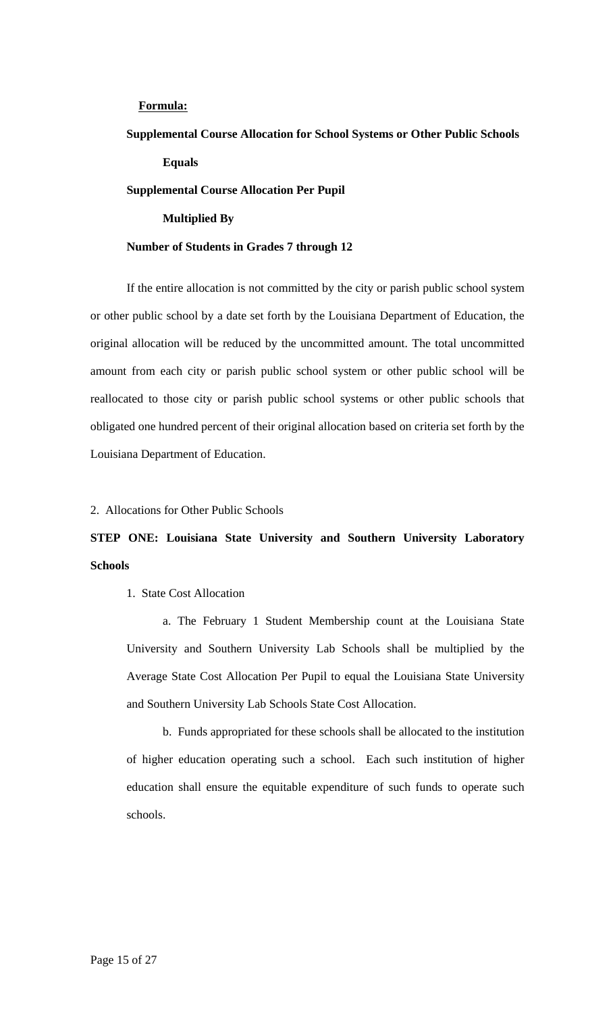## **Formula:**

## **Supplemental Course Allocation for School Systems or Other Public Schools Equals**

#### **Supplemental Course Allocation Per Pupil**

## **Multiplied By**

#### **Number of Students in Grades 7 through 12**

If the entire allocation is not committed by the city or parish public school system or other public school by a date set forth by the Louisiana Department of Education, the original allocation will be reduced by the uncommitted amount. The total uncommitted amount from each city or parish public school system or other public school will be reallocated to those city or parish public school systems or other public schools that obligated one hundred percent of their original allocation based on criteria set forth by the Louisiana Department of Education.

## 2. Allocations for Other Public Schools

## **STEP ONE: Louisiana State University and Southern University Laboratory Schools**

#### 1. State Cost Allocation

a. The February 1 Student Membership count at the Louisiana State University and Southern University Lab Schools shall be multiplied by the Average State Cost Allocation Per Pupil to equal the Louisiana State University and Southern University Lab Schools State Cost Allocation.

b. Funds appropriated for these schools shall be allocated to the institution of higher education operating such a school. Each such institution of higher education shall ensure the equitable expenditure of such funds to operate such schools.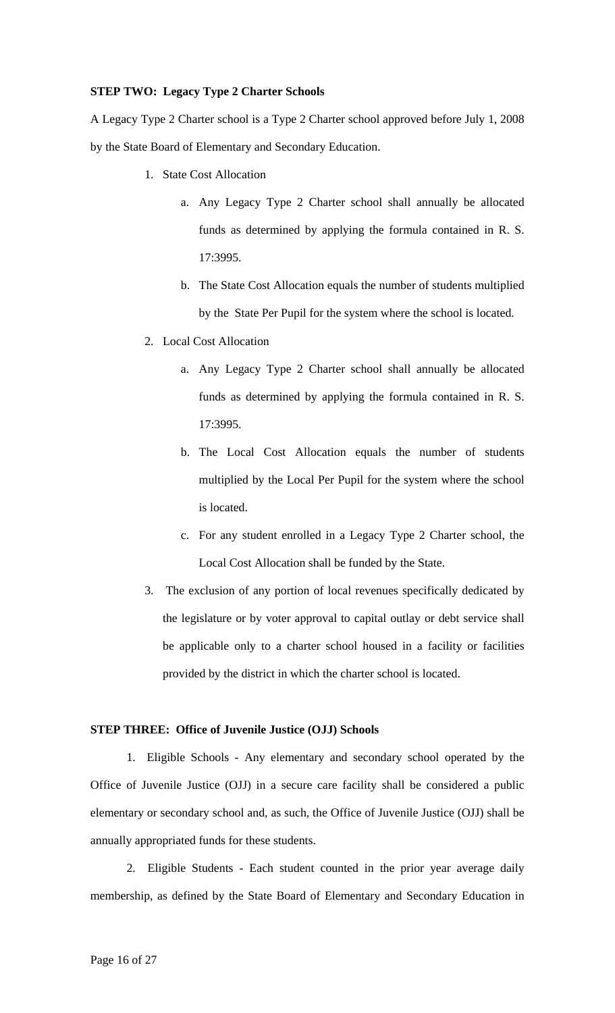#### **STEP TWO: Legacy Type 2 Charter Schools**

A Legacy Type 2 Charter school is a Type 2 Charter school approved before July 1, 2008 by the State Board of Elementary and Secondary Education.

- 1. State Cost Allocation
	- a. Any Legacy Type 2 Charter school shall annually be allocated funds as determined by applying the formula contained in R. S. 17:3995.
	- b. The State Cost Allocation equals the number of students multiplied by the State Per Pupil for the system where the school is located.
- 2. Local Cost Allocation
	- a. Any Legacy Type 2 Charter school shall annually be allocated funds as determined by applying the formula contained in R. S. 17:3995.
	- b. The Local Cost Allocation equals the number of students multiplied by the Local Per Pupil for the system where the school is located.
	- c. For any student enrolled in a Legacy Type 2 Charter school, the Local Cost Allocation shall be funded by the State.
- 3. The exclusion of any portion of local revenues specifically dedicated by the legislature or by voter approval to capital outlay or debt service shall be applicable only to a charter school housed in a facility or facilities provided by the district in which the charter school is located.

#### **STEP THREE: Office of Juvenile Justice (OJJ) Schools**

 1. Eligible Schools - Any elementary and secondary school operated by the Office of Juvenile Justice (OJJ) in a secure care facility shall be considered a public elementary or secondary school and, as such, the Office of Juvenile Justice (OJJ) shall be annually appropriated funds for these students.

 2. Eligible Students - Each student counted in the prior year average daily membership, as defined by the State Board of Elementary and Secondary Education in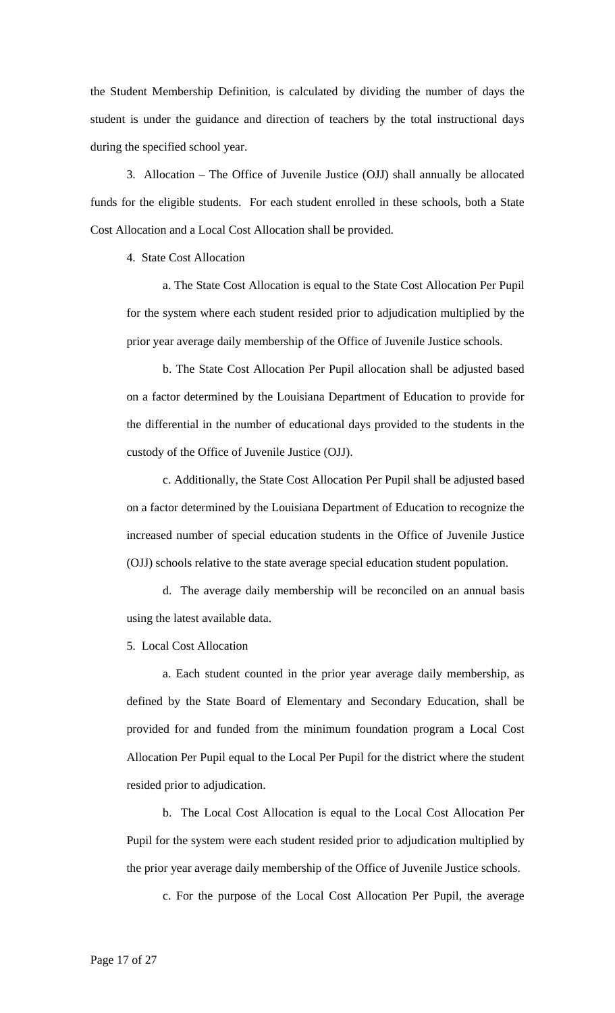the Student Membership Definition, is calculated by dividing the number of days the student is under the guidance and direction of teachers by the total instructional days during the specified school year.

3. Allocation – The Office of Juvenile Justice (OJJ) shall annually be allocated funds for the eligible students. For each student enrolled in these schools, both a State Cost Allocation and a Local Cost Allocation shall be provided.

4. State Cost Allocation

a. The State Cost Allocation is equal to the State Cost Allocation Per Pupil for the system where each student resided prior to adjudication multiplied by the prior year average daily membership of the Office of Juvenile Justice schools.

b. The State Cost Allocation Per Pupil allocation shall be adjusted based on a factor determined by the Louisiana Department of Education to provide for the differential in the number of educational days provided to the students in the custody of the Office of Juvenile Justice (OJJ).

c. Additionally, the State Cost Allocation Per Pupil shall be adjusted based on a factor determined by the Louisiana Department of Education to recognize the increased number of special education students in the Office of Juvenile Justice (OJJ) schools relative to the state average special education student population.

d. The average daily membership will be reconciled on an annual basis using the latest available data.

5. Local Cost Allocation

a. Each student counted in the prior year average daily membership, as defined by the State Board of Elementary and Secondary Education, shall be provided for and funded from the minimum foundation program a Local Cost Allocation Per Pupil equal to the Local Per Pupil for the district where the student resided prior to adjudication.

b. The Local Cost Allocation is equal to the Local Cost Allocation Per Pupil for the system were each student resided prior to adjudication multiplied by the prior year average daily membership of the Office of Juvenile Justice schools.

c. For the purpose of the Local Cost Allocation Per Pupil, the average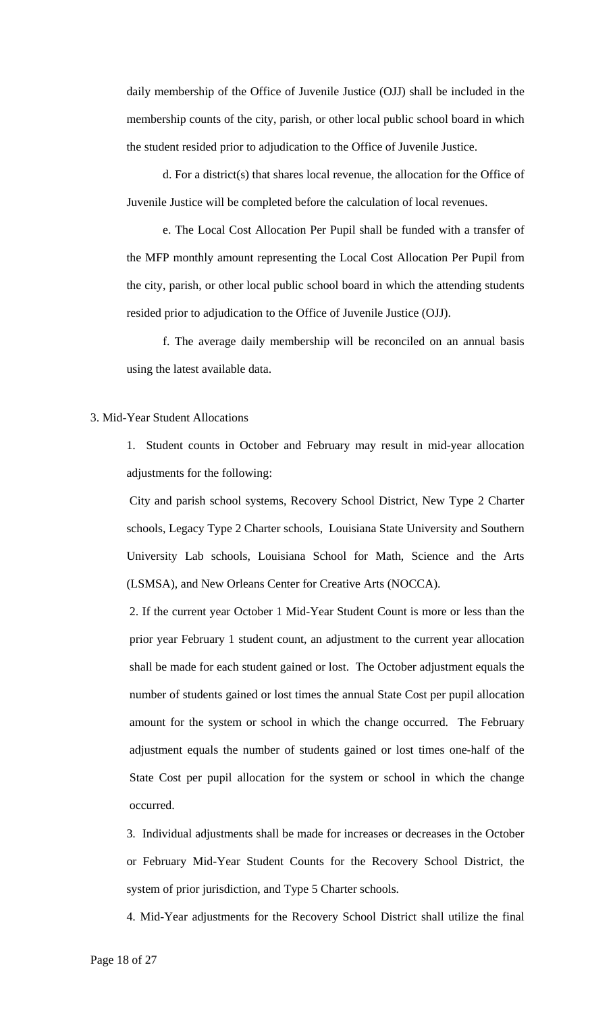daily membership of the Office of Juvenile Justice (OJJ) shall be included in the membership counts of the city, parish, or other local public school board in which the student resided prior to adjudication to the Office of Juvenile Justice.

d. For a district(s) that shares local revenue, the allocation for the Office of Juvenile Justice will be completed before the calculation of local revenues.

e. The Local Cost Allocation Per Pupil shall be funded with a transfer of the MFP monthly amount representing the Local Cost Allocation Per Pupil from the city, parish, or other local public school board in which the attending students resided prior to adjudication to the Office of Juvenile Justice (OJJ).

f. The average daily membership will be reconciled on an annual basis using the latest available data.

## 3. Mid-Year Student Allocations

1. Student counts in October and February may result in mid-year allocation adjustments for the following:

City and parish school systems, Recovery School District, New Type 2 Charter schools, Legacy Type 2 Charter schools, Louisiana State University and Southern University Lab schools, Louisiana School for Math, Science and the Arts (LSMSA), and New Orleans Center for Creative Arts (NOCCA).

2. If the current year October 1 Mid-Year Student Count is more or less than the prior year February 1 student count, an adjustment to the current year allocation shall be made for each student gained or lost. The October adjustment equals the number of students gained or lost times the annual State Cost per pupil allocation amount for the system or school in which the change occurred. The February adjustment equals the number of students gained or lost times one-half of the State Cost per pupil allocation for the system or school in which the change occurred.

3. Individual adjustments shall be made for increases or decreases in the October or February Mid-Year Student Counts for the Recovery School District, the system of prior jurisdiction, and Type 5 Charter schools.

4. Mid-Year adjustments for the Recovery School District shall utilize the final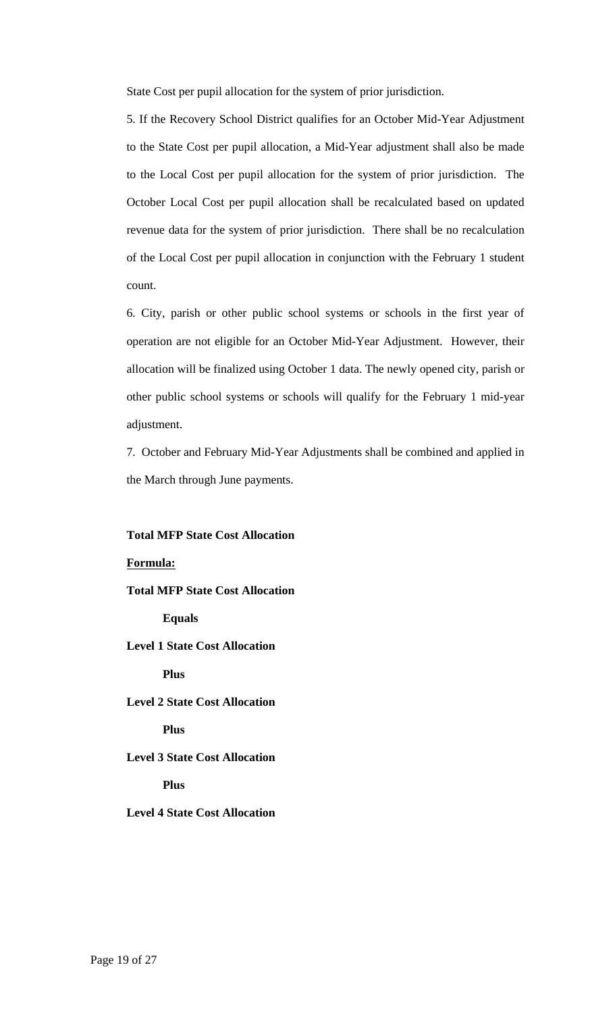State Cost per pupil allocation for the system of prior jurisdiction.

5. If the Recovery School District qualifies for an October Mid-Year Adjustment to the State Cost per pupil allocation, a Mid-Year adjustment shall also be made to the Local Cost per pupil allocation for the system of prior jurisdiction. The October Local Cost per pupil allocation shall be recalculated based on updated revenue data for the system of prior jurisdiction. There shall be no recalculation of the Local Cost per pupil allocation in conjunction with the February 1 student count.

6. City, parish or other public school systems or schools in the first year of operation are not eligible for an October Mid-Year Adjustment. However, their allocation will be finalized using October 1 data. The newly opened city, parish or other public school systems or schools will qualify for the February 1 mid-year adjustment.

7. October and February Mid-Year Adjustments shall be combined and applied in the March through June payments.

#### **Total MFP State Cost Allocation**

**Formula: Total MFP State Cost Allocation Equals Level 1 State Cost Allocation Plus Level 2 State Cost Allocation Plus Level 3 State Cost Allocation Plus Level 4 State Cost Allocation**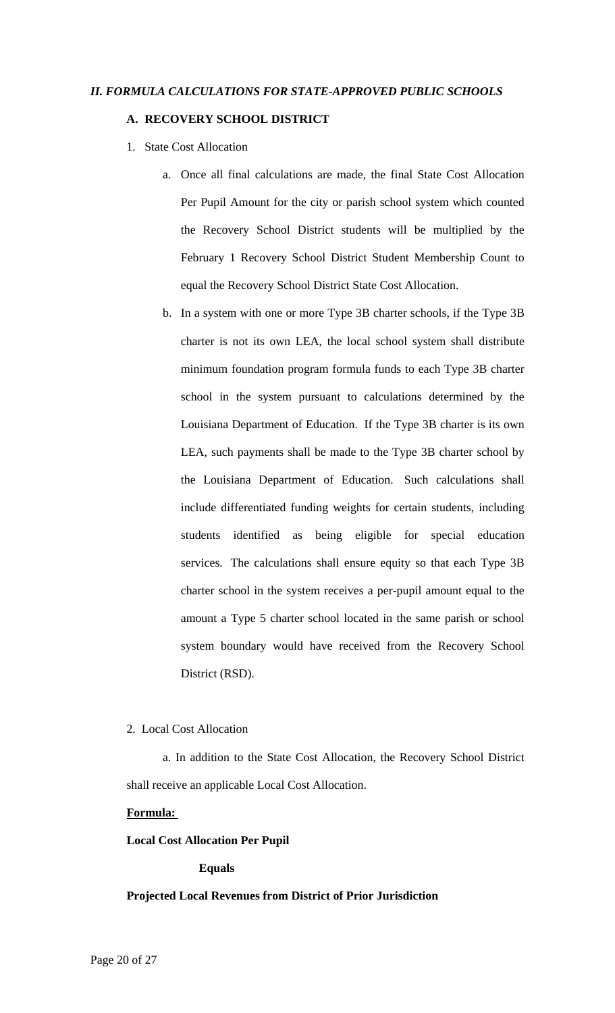## *II. FORMULA CALCULATIONS FOR STATE-APPROVED PUBLIC SCHOOLS*

## **A. RECOVERY SCHOOL DISTRICT**

- 1. State Cost Allocation
	- a. Once all final calculations are made, the final State Cost Allocation Per Pupil Amount for the city or parish school system which counted the Recovery School District students will be multiplied by the February 1 Recovery School District Student Membership Count to equal the Recovery School District State Cost Allocation.
	- b. In a system with one or more Type 3B charter schools, if the Type 3B charter is not its own LEA, the local school system shall distribute minimum foundation program formula funds to each Type 3B charter school in the system pursuant to calculations determined by the Louisiana Department of Education. If the Type 3B charter is its own LEA, such payments shall be made to the Type 3B charter school by the Louisiana Department of Education. Such calculations shall include differentiated funding weights for certain students, including students identified as being eligible for special education services. The calculations shall ensure equity so that each Type 3B charter school in the system receives a per-pupil amount equal to the amount a Type 5 charter school located in the same parish or school system boundary would have received from the Recovery School District (RSD).

## 2. Local Cost Allocation

a. In addition to the State Cost Allocation, the Recovery School District shall receive an applicable Local Cost Allocation.

#### **Formula:**

#### **Local Cost Allocation Per Pupil**

#### **Equals**

#### **Projected Local Revenues from District of Prior Jurisdiction**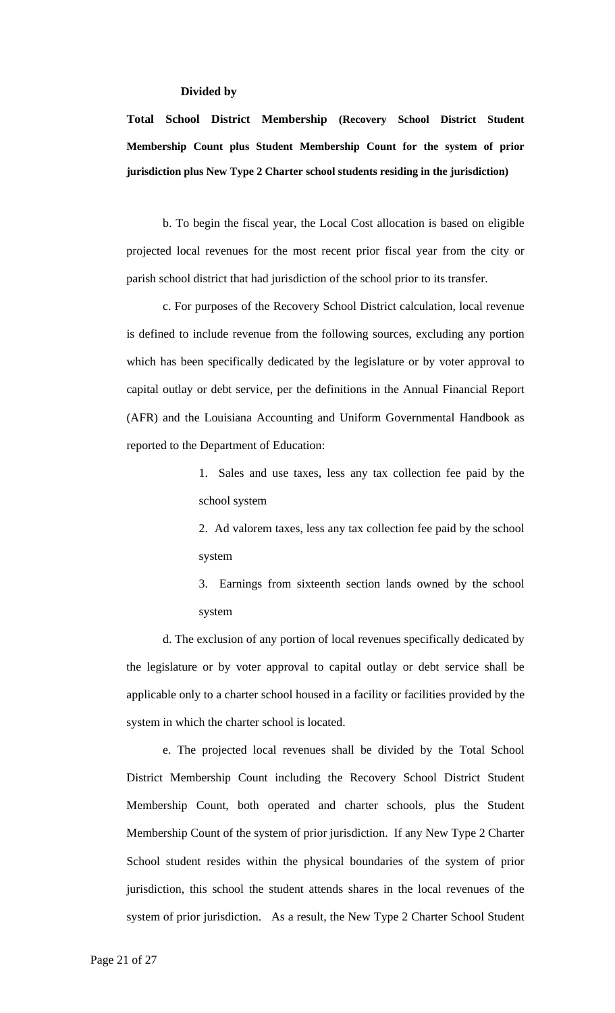#### **Divided by**

**Total School District Membership (Recovery School District Student Membership Count plus Student Membership Count for the system of prior jurisdiction plus New Type 2 Charter school students residing in the jurisdiction)** 

b. To begin the fiscal year, the Local Cost allocation is based on eligible projected local revenues for the most recent prior fiscal year from the city or parish school district that had jurisdiction of the school prior to its transfer.

c. For purposes of the Recovery School District calculation, local revenue is defined to include revenue from the following sources, excluding any portion which has been specifically dedicated by the legislature or by voter approval to capital outlay or debt service, per the definitions in the Annual Financial Report (AFR) and the Louisiana Accounting and Uniform Governmental Handbook as reported to the Department of Education:

> 1. Sales and use taxes, less any tax collection fee paid by the school system

> 2. Ad valorem taxes, less any tax collection fee paid by the school system

> 3. Earnings from sixteenth section lands owned by the school system

 d. The exclusion of any portion of local revenues specifically dedicated by the legislature or by voter approval to capital outlay or debt service shall be applicable only to a charter school housed in a facility or facilities provided by the system in which the charter school is located.

e. The projected local revenues shall be divided by the Total School District Membership Count including the Recovery School District Student Membership Count, both operated and charter schools, plus the Student Membership Count of the system of prior jurisdiction. If any New Type 2 Charter School student resides within the physical boundaries of the system of prior jurisdiction, this school the student attends shares in the local revenues of the system of prior jurisdiction. As a result, the New Type 2 Charter School Student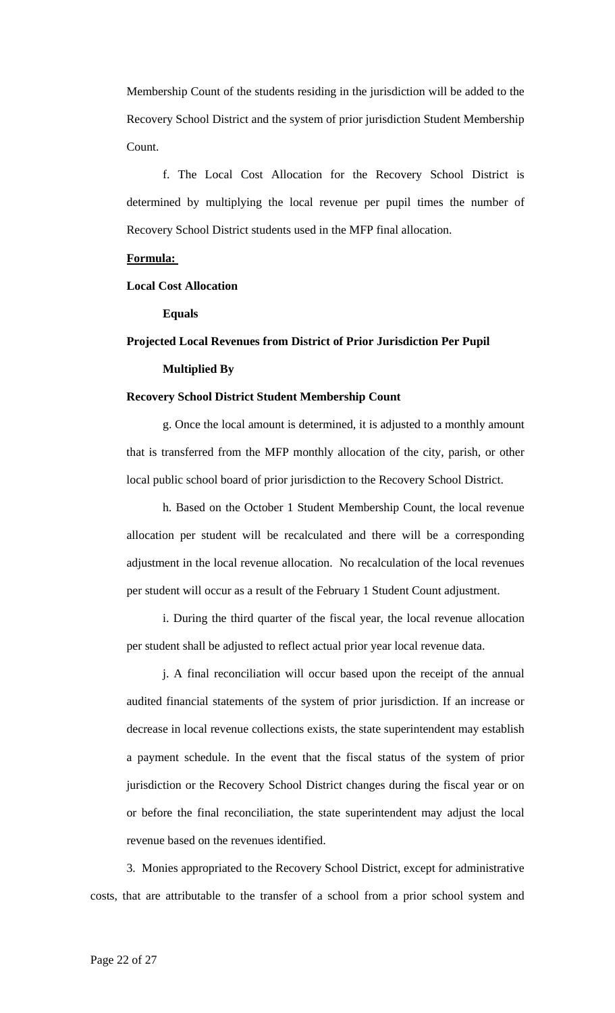Membership Count of the students residing in the jurisdiction will be added to the Recovery School District and the system of prior jurisdiction Student Membership Count.

f. The Local Cost Allocation for the Recovery School District is determined by multiplying the local revenue per pupil times the number of Recovery School District students used in the MFP final allocation.

## **Formula:**

## **Local Cost Allocation**

**Equals** 

## **Projected Local Revenues from District of Prior Jurisdiction Per Pupil Multiplied By**

### **Recovery School District Student Membership Count**

g. Once the local amount is determined, it is adjusted to a monthly amount that is transferred from the MFP monthly allocation of the city, parish, or other local public school board of prior jurisdiction to the Recovery School District.

h. Based on the October 1 Student Membership Count, the local revenue allocation per student will be recalculated and there will be a corresponding adjustment in the local revenue allocation. No recalculation of the local revenues per student will occur as a result of the February 1 Student Count adjustment.

i. During the third quarter of the fiscal year, the local revenue allocation per student shall be adjusted to reflect actual prior year local revenue data.

j. A final reconciliation will occur based upon the receipt of the annual audited financial statements of the system of prior jurisdiction. If an increase or decrease in local revenue collections exists, the state superintendent may establish a payment schedule. In the event that the fiscal status of the system of prior jurisdiction or the Recovery School District changes during the fiscal year or on or before the final reconciliation, the state superintendent may adjust the local revenue based on the revenues identified.

3. Monies appropriated to the Recovery School District, except for administrative costs, that are attributable to the transfer of a school from a prior school system and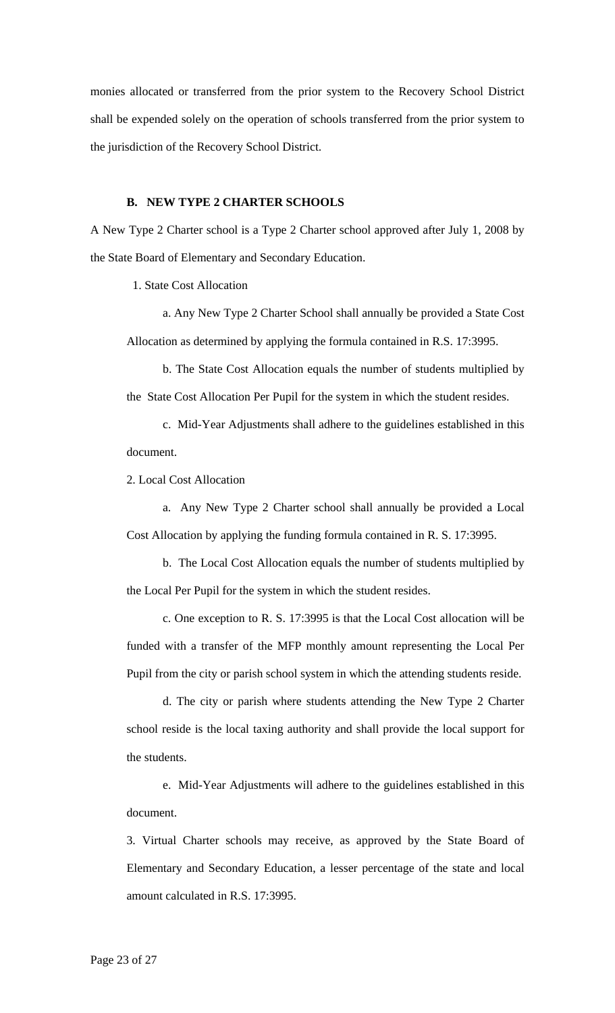monies allocated or transferred from the prior system to the Recovery School District shall be expended solely on the operation of schools transferred from the prior system to the jurisdiction of the Recovery School District.

## **B. NEW TYPE 2 CHARTER SCHOOLS**

A New Type 2 Charter school is a Type 2 Charter school approved after July 1, 2008 by the State Board of Elementary and Secondary Education.

1. State Cost Allocation

a. Any New Type 2 Charter School shall annually be provided a State Cost Allocation as determined by applying the formula contained in R.S. 17:3995.

b. The State Cost Allocation equals the number of students multiplied by the State Cost Allocation Per Pupil for the system in which the student resides.

c. Mid-Year Adjustments shall adhere to the guidelines established in this document.

2. Local Cost Allocation

a. Any New Type 2 Charter school shall annually be provided a Local Cost Allocation by applying the funding formula contained in R. S. 17:3995.

b. The Local Cost Allocation equals the number of students multiplied by the Local Per Pupil for the system in which the student resides.

c. One exception to R. S. 17:3995 is that the Local Cost allocation will be funded with a transfer of the MFP monthly amount representing the Local Per Pupil from the city or parish school system in which the attending students reside.

d. The city or parish where students attending the New Type 2 Charter school reside is the local taxing authority and shall provide the local support for the students.

e. Mid-Year Adjustments will adhere to the guidelines established in this document.

3. Virtual Charter schools may receive, as approved by the State Board of Elementary and Secondary Education, a lesser percentage of the state and local amount calculated in R.S. 17:3995.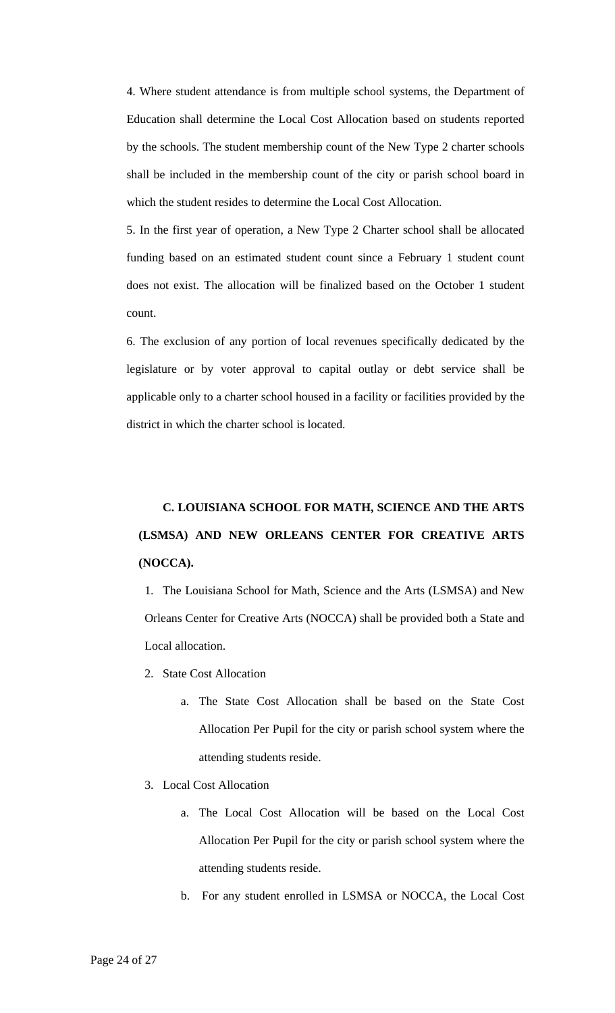4. Where student attendance is from multiple school systems, the Department of Education shall determine the Local Cost Allocation based on students reported by the schools. The student membership count of the New Type 2 charter schools shall be included in the membership count of the city or parish school board in which the student resides to determine the Local Cost Allocation.

5. In the first year of operation, a New Type 2 Charter school shall be allocated funding based on an estimated student count since a February 1 student count does not exist. The allocation will be finalized based on the October 1 student count.

6. The exclusion of any portion of local revenues specifically dedicated by the legislature or by voter approval to capital outlay or debt service shall be applicable only to a charter school housed in a facility or facilities provided by the district in which the charter school is located.

# **C. LOUISIANA SCHOOL FOR MATH, SCIENCE AND THE ARTS (LSMSA) AND NEW ORLEANS CENTER FOR CREATIVE ARTS (NOCCA).**

1. The Louisiana School for Math, Science and the Arts (LSMSA) and New Orleans Center for Creative Arts (NOCCA) shall be provided both a State and Local allocation.

- 2. State Cost Allocation
	- a. The State Cost Allocation shall be based on the State Cost Allocation Per Pupil for the city or parish school system where the attending students reside.
- 3. Local Cost Allocation
	- a. The Local Cost Allocation will be based on the Local Cost Allocation Per Pupil for the city or parish school system where the attending students reside.
	- b. For any student enrolled in LSMSA or NOCCA, the Local Cost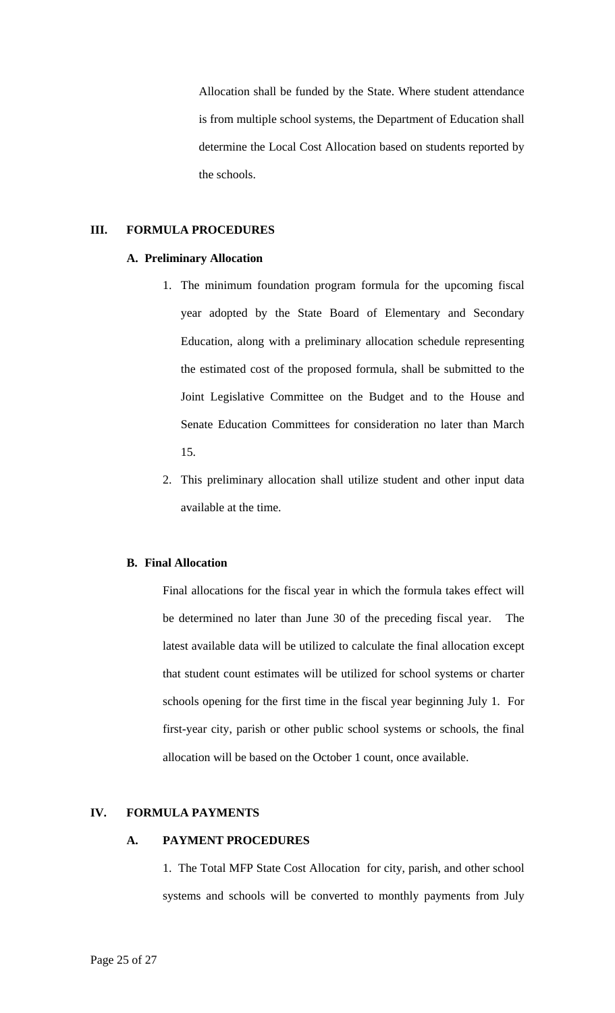Allocation shall be funded by the State. Where student attendance is from multiple school systems, the Department of Education shall determine the Local Cost Allocation based on students reported by the schools.

## **III. FORMULA PROCEDURES**

#### **A. Preliminary Allocation**

- 1. The minimum foundation program formula for the upcoming fiscal year adopted by the State Board of Elementary and Secondary Education, along with a preliminary allocation schedule representing the estimated cost of the proposed formula, shall be submitted to the Joint Legislative Committee on the Budget and to the House and Senate Education Committees for consideration no later than March 15.
- 2. This preliminary allocation shall utilize student and other input data available at the time.

## **B. Final Allocation**

Final allocations for the fiscal year in which the formula takes effect will be determined no later than June 30 of the preceding fiscal year. The latest available data will be utilized to calculate the final allocation except that student count estimates will be utilized for school systems or charter schools opening for the first time in the fiscal year beginning July 1. For first-year city, parish or other public school systems or schools, the final allocation will be based on the October 1 count, once available.

## **IV. FORMULA PAYMENTS**

#### **A. PAYMENT PROCEDURES**

1. The Total MFP State Cost Allocation for city, parish, and other school systems and schools will be converted to monthly payments from July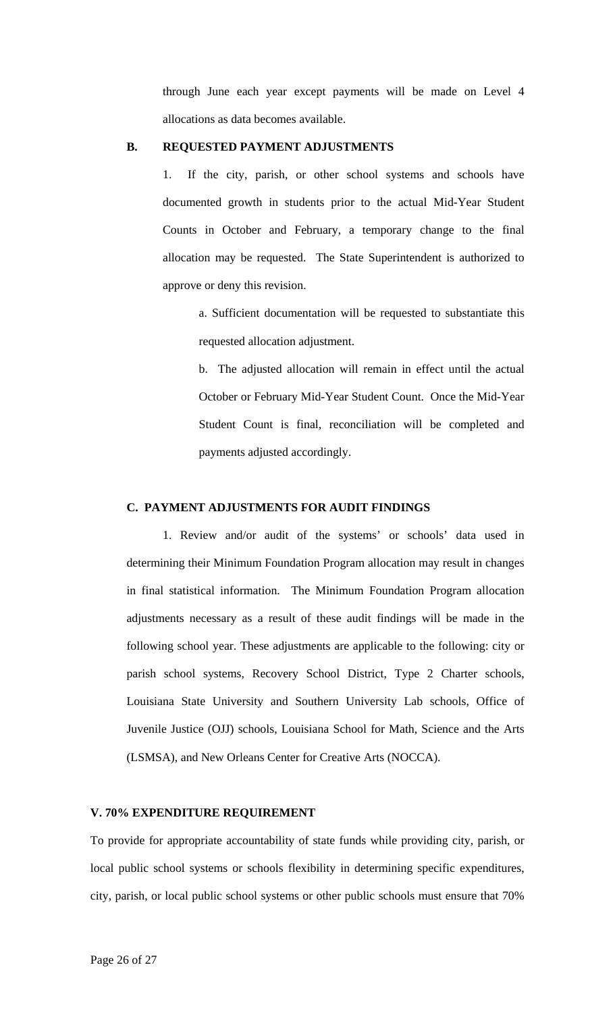through June each year except payments will be made on Level 4 allocations as data becomes available.

#### **B. REQUESTED PAYMENT ADJUSTMENTS**

1. If the city, parish, or other school systems and schools have documented growth in students prior to the actual Mid-Year Student Counts in October and February, a temporary change to the final allocation may be requested. The State Superintendent is authorized to approve or deny this revision.

a. Sufficient documentation will be requested to substantiate this requested allocation adjustment.

b. The adjusted allocation will remain in effect until the actual October or February Mid-Year Student Count. Once the Mid-Year Student Count is final, reconciliation will be completed and payments adjusted accordingly.

## **C. PAYMENT ADJUSTMENTS FOR AUDIT FINDINGS**

1. Review and/or audit of the systems' or schools' data used in determining their Minimum Foundation Program allocation may result in changes in final statistical information. The Minimum Foundation Program allocation adjustments necessary as a result of these audit findings will be made in the following school year. These adjustments are applicable to the following: city or parish school systems, Recovery School District, Type 2 Charter schools, Louisiana State University and Southern University Lab schools, Office of Juvenile Justice (OJJ) schools, Louisiana School for Math, Science and the Arts (LSMSA), and New Orleans Center for Creative Arts (NOCCA).

#### **V. 70% EXPENDITURE REQUIREMENT**

To provide for appropriate accountability of state funds while providing city, parish, or local public school systems or schools flexibility in determining specific expenditures, city, parish, or local public school systems or other public schools must ensure that 70%